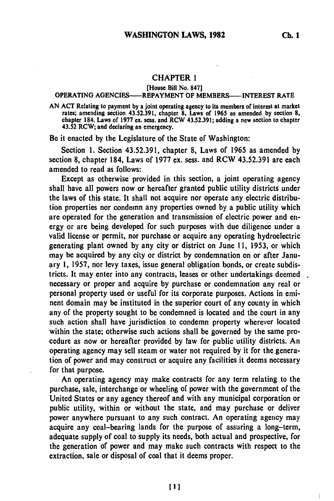## CHAPTER **1**

[House Bill **No. 847]**

## OPERATING AGENCIES------REPAYMENT OF MEMBERS-----INTEREST RATE

AN **ACT** Relating to payment **by** a joint operating agency to its members of interest at market rates; amending section **43.52.391,** chapter **8,** Laws of **1965** as amended **by** section **8,** chapter 184, Laws of **1977** ex. sess. and RCW **43.52.391;** adding a new section to chapter 43.52 RCW; and declaring an emergency.

**Be** it enacted **by** the Legislature of the State of Washington:

Section **1.** Section **43.52.391,** chapter **8,** Laws of **1965** as amended **by** section **8,** chapter 184, Laws of **1977** ex. sess. and RCW **43.52.391** are each amended to read as follows:

Except as otherwise provided in this section, a joint operating agency shall have all powers now or hereafter granted public utility districts under the laws of this state. It shall not acquire nor operate any electric distribution properties nor condemn any properties owned **by** a public utility which are operated for the generation and transmission of electric power and energy or are being developed for such purposes with due diligence under a valid license or permit, nor purchase or acquire any operating hydroelectric generating plant owned **by** any city or district on June **11, 1953,** or which may be acquired **by** any city or district **by** condemnation on or after January **1, 1957,** nor levy taxes, issue general obligation bonds, or create subdistricts. It may enter into any contracts, leases or other undertakings deemed necessary or proper and acquire **by** purchase or condemnation any real or personal property used or useful for its corporate purposes. Actions in eminent domain may be instituted in the superior court of any county in which any of the property sought to **be** condemned is located and the court in any such action shall have jurisdiction to condemn property wherever located within the state; otherwise such actions shall **be** governed **by** the same procedure as now or hereafter provided **by** law for public utility districts. An operating agency may sell steam or water not required **by** it for the generation of power and may construct or acquire any facilities it deems necessary for that purpose.

An operating agency may make contracts for any term relating to the purchase, sale, interchange or wheeling of power with the government of the United States or any agency thereof and with any municipal corporation or public utility, within or without the state, and may purchase or deliver power anywhere pursuant to any such contract. An operating agency may acquire any coal-bearing lands for the purpose of assuring a long-term, adequate supply of coal to supply its needs, both actual and prospective, for the generation of power and may make such contracts with respect to the extraction, sale or disposal of coal that it deems proper.